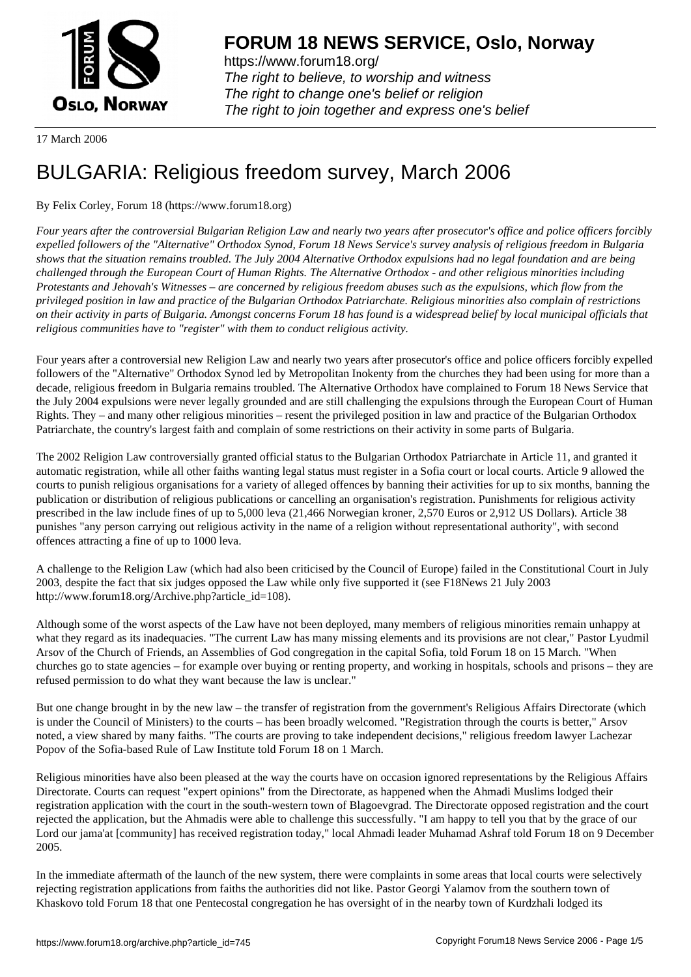

https://www.forum18.org/ The right to believe, to worship and witness The right to change one's belief or religion [The right to join together a](https://www.forum18.org/)nd express one's belief

17 March 2006

## [BULGARIA: Re](https://www.forum18.org)ligious freedom survey, March 2006

## By Felix Corley, Forum 18 (https://www.forum18.org)

*Four years after the controversial Bulgarian Religion Law and nearly two years after prosecutor's office and police officers forcibly expelled followers of the "Alternative" Orthodox Synod, Forum 18 News Service's survey analysis of religious freedom in Bulgaria shows that the situation remains troubled. The July 2004 Alternative Orthodox expulsions had no legal foundation and are being challenged through the European Court of Human Rights. The Alternative Orthodox - and other religious minorities including Protestants and Jehovah's Witnesses – are concerned by religious freedom abuses such as the expulsions, which flow from the privileged position in law and practice of the Bulgarian Orthodox Patriarchate. Religious minorities also complain of restrictions on their activity in parts of Bulgaria. Amongst concerns Forum 18 has found is a widespread belief by local municipal officials that religious communities have to "register" with them to conduct religious activity.*

Four years after a controversial new Religion Law and nearly two years after prosecutor's office and police officers forcibly expelled followers of the "Alternative" Orthodox Synod led by Metropolitan Inokenty from the churches they had been using for more than a decade, religious freedom in Bulgaria remains troubled. The Alternative Orthodox have complained to Forum 18 News Service that the July 2004 expulsions were never legally grounded and are still challenging the expulsions through the European Court of Human Rights. They – and many other religious minorities – resent the privileged position in law and practice of the Bulgarian Orthodox Patriarchate, the country's largest faith and complain of some restrictions on their activity in some parts of Bulgaria.

The 2002 Religion Law controversially granted official status to the Bulgarian Orthodox Patriarchate in Article 11, and granted it automatic registration, while all other faiths wanting legal status must register in a Sofia court or local courts. Article 9 allowed the courts to punish religious organisations for a variety of alleged offences by banning their activities for up to six months, banning the publication or distribution of religious publications or cancelling an organisation's registration. Punishments for religious activity prescribed in the law include fines of up to 5,000 leva (21,466 Norwegian kroner, 2,570 Euros or 2,912 US Dollars). Article 38 punishes "any person carrying out religious activity in the name of a religion without representational authority", with second offences attracting a fine of up to 1000 leva.

A challenge to the Religion Law (which had also been criticised by the Council of Europe) failed in the Constitutional Court in July 2003, despite the fact that six judges opposed the Law while only five supported it (see F18News 21 July 2003 http://www.forum18.org/Archive.php?article\_id=108).

Although some of the worst aspects of the Law have not been deployed, many members of religious minorities remain unhappy at what they regard as its inadequacies. "The current Law has many missing elements and its provisions are not clear," Pastor Lyudmil Arsov of the Church of Friends, an Assemblies of God congregation in the capital Sofia, told Forum 18 on 15 March. "When churches go to state agencies – for example over buying or renting property, and working in hospitals, schools and prisons – they are refused permission to do what they want because the law is unclear."

But one change brought in by the new law – the transfer of registration from the government's Religious Affairs Directorate (which is under the Council of Ministers) to the courts – has been broadly welcomed. "Registration through the courts is better," Arsov noted, a view shared by many faiths. "The courts are proving to take independent decisions," religious freedom lawyer Lachezar Popov of the Sofia-based Rule of Law Institute told Forum 18 on 1 March.

Religious minorities have also been pleased at the way the courts have on occasion ignored representations by the Religious Affairs Directorate. Courts can request "expert opinions" from the Directorate, as happened when the Ahmadi Muslims lodged their registration application with the court in the south-western town of Blagoevgrad. The Directorate opposed registration and the court rejected the application, but the Ahmadis were able to challenge this successfully. "I am happy to tell you that by the grace of our Lord our jama'at [community] has received registration today," local Ahmadi leader Muhamad Ashraf told Forum 18 on 9 December 2005.

In the immediate aftermath of the launch of the new system, there were complaints in some areas that local courts were selectively rejecting registration applications from faiths the authorities did not like. Pastor Georgi Yalamov from the southern town of Khaskovo told Forum 18 that one Pentecostal congregation he has oversight of in the nearby town of Kurdzhali lodged its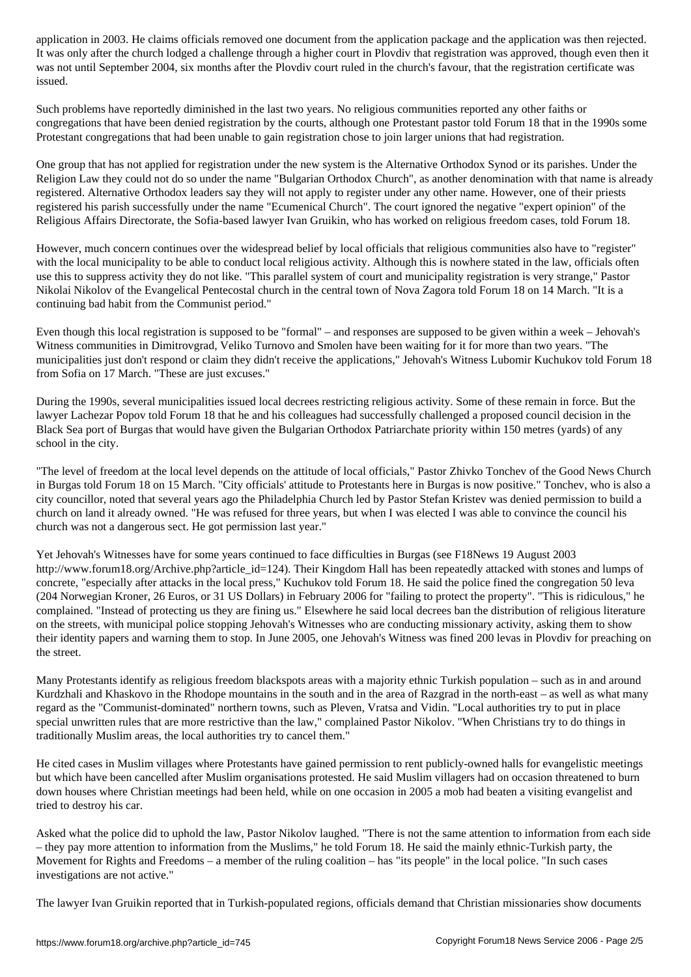It was only after the church lodged a challenge through a higher court in Plovdiv that registration was approved, though even then it was not until September 2004, six months after the Plovdiv court ruled in the church's favour, that the registration certificate was issued.

Such problems have reportedly diminished in the last two years. No religious communities reported any other faiths or congregations that have been denied registration by the courts, although one Protestant pastor told Forum 18 that in the 1990s some Protestant congregations that had been unable to gain registration chose to join larger unions that had registration.

One group that has not applied for registration under the new system is the Alternative Orthodox Synod or its parishes. Under the Religion Law they could not do so under the name "Bulgarian Orthodox Church", as another denomination with that name is already registered. Alternative Orthodox leaders say they will not apply to register under any other name. However, one of their priests registered his parish successfully under the name "Ecumenical Church". The court ignored the negative "expert opinion" of the Religious Affairs Directorate, the Sofia-based lawyer Ivan Gruikin, who has worked on religious freedom cases, told Forum 18.

However, much concern continues over the widespread belief by local officials that religious communities also have to "register" with the local municipality to be able to conduct local religious activity. Although this is nowhere stated in the law, officials often use this to suppress activity they do not like. "This parallel system of court and municipality registration is very strange," Pastor Nikolai Nikolov of the Evangelical Pentecostal church in the central town of Nova Zagora told Forum 18 on 14 March. "It is a continuing bad habit from the Communist period."

Even though this local registration is supposed to be "formal" – and responses are supposed to be given within a week – Jehovah's Witness communities in Dimitrovgrad, Veliko Turnovo and Smolen have been waiting for it for more than two years. "The municipalities just don't respond or claim they didn't receive the applications," Jehovah's Witness Lubomir Kuchukov told Forum 18 from Sofia on 17 March. "These are just excuses."

During the 1990s, several municipalities issued local decrees restricting religious activity. Some of these remain in force. But the lawyer Lachezar Popov told Forum 18 that he and his colleagues had successfully challenged a proposed council decision in the Black Sea port of Burgas that would have given the Bulgarian Orthodox Patriarchate priority within 150 metres (yards) of any school in the city.

"The level of freedom at the local level depends on the attitude of local officials," Pastor Zhivko Tonchev of the Good News Church in Burgas told Forum 18 on 15 March. "City officials' attitude to Protestants here in Burgas is now positive." Tonchev, who is also a city councillor, noted that several years ago the Philadelphia Church led by Pastor Stefan Kristev was denied permission to build a church on land it already owned. "He was refused for three years, but when I was elected I was able to convince the council his church was not a dangerous sect. He got permission last year."

Yet Jehovah's Witnesses have for some years continued to face difficulties in Burgas (see F18News 19 August 2003 http://www.forum18.org/Archive.php?article\_id=124). Their Kingdom Hall has been repeatedly attacked with stones and lumps of concrete, "especially after attacks in the local press," Kuchukov told Forum 18. He said the police fined the congregation 50 leva (204 Norwegian Kroner, 26 Euros, or 31 US Dollars) in February 2006 for "failing to protect the property". "This is ridiculous," he complained. "Instead of protecting us they are fining us." Elsewhere he said local decrees ban the distribution of religious literature on the streets, with municipal police stopping Jehovah's Witnesses who are conducting missionary activity, asking them to show their identity papers and warning them to stop. In June 2005, one Jehovah's Witness was fined 200 levas in Plovdiv for preaching on the street.

Many Protestants identify as religious freedom blackspots areas with a majority ethnic Turkish population – such as in and around Kurdzhali and Khaskovo in the Rhodope mountains in the south and in the area of Razgrad in the north-east – as well as what many regard as the "Communist-dominated" northern towns, such as Pleven, Vratsa and Vidin. "Local authorities try to put in place special unwritten rules that are more restrictive than the law," complained Pastor Nikolov. "When Christians try to do things in traditionally Muslim areas, the local authorities try to cancel them."

He cited cases in Muslim villages where Protestants have gained permission to rent publicly-owned halls for evangelistic meetings but which have been cancelled after Muslim organisations protested. He said Muslim villagers had on occasion threatened to burn down houses where Christian meetings had been held, while on one occasion in 2005 a mob had beaten a visiting evangelist and tried to destroy his car.

Asked what the police did to uphold the law, Pastor Nikolov laughed. "There is not the same attention to information from each side – they pay more attention to information from the Muslims," he told Forum 18. He said the mainly ethnic-Turkish party, the Movement for Rights and Freedoms – a member of the ruling coalition – has "its people" in the local police. "In such cases investigations are not active."

The lawyer Ivan Gruikin reported that in Turkish-populated regions, officials demand that Christian missionaries show documents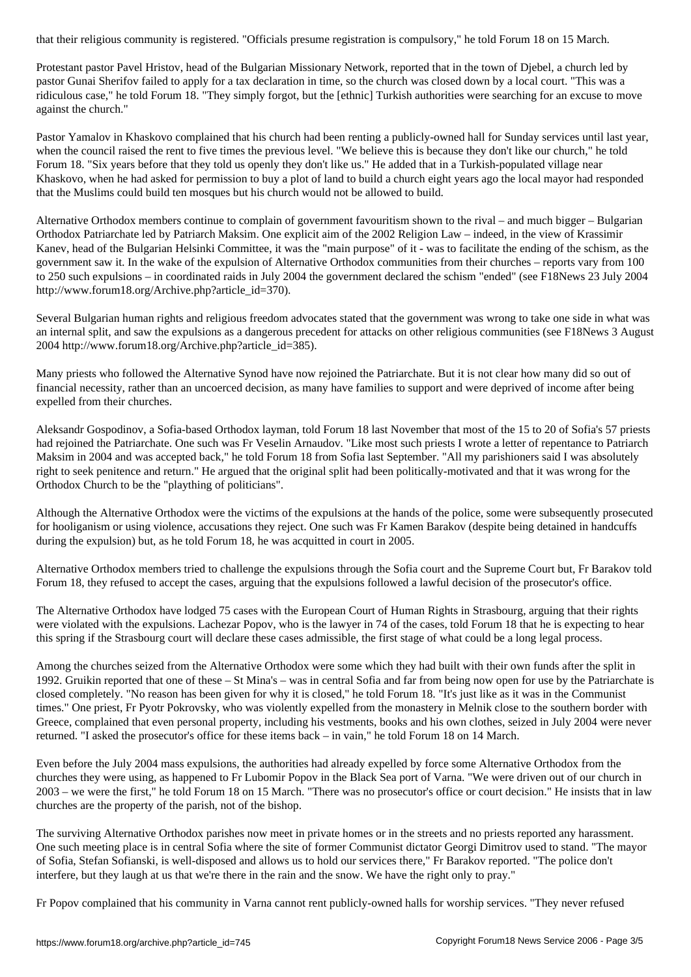Protestant pastor Pavel Hristov, head of the Bulgarian Missionary Network, reported that in the town of Djebel, a church led by pastor Gunai Sherifov failed to apply for a tax declaration in time, so the church was closed down by a local court. "This was a ridiculous case," he told Forum 18. "They simply forgot, but the [ethnic] Turkish authorities were searching for an excuse to move against the church."

Pastor Yamalov in Khaskovo complained that his church had been renting a publicly-owned hall for Sunday services until last year, when the council raised the rent to five times the previous level. "We believe this is because they don't like our church," he told Forum 18. "Six years before that they told us openly they don't like us." He added that in a Turkish-populated village near Khaskovo, when he had asked for permission to buy a plot of land to build a church eight years ago the local mayor had responded that the Muslims could build ten mosques but his church would not be allowed to build.

Alternative Orthodox members continue to complain of government favouritism shown to the rival – and much bigger – Bulgarian Orthodox Patriarchate led by Patriarch Maksim. One explicit aim of the 2002 Religion Law – indeed, in the view of Krassimir Kanev, head of the Bulgarian Helsinki Committee, it was the "main purpose" of it - was to facilitate the ending of the schism, as the government saw it. In the wake of the expulsion of Alternative Orthodox communities from their churches – reports vary from 100 to 250 such expulsions – in coordinated raids in July 2004 the government declared the schism "ended" (see F18News 23 July 2004 http://www.forum18.org/Archive.php?article\_id=370).

Several Bulgarian human rights and religious freedom advocates stated that the government was wrong to take one side in what was an internal split, and saw the expulsions as a dangerous precedent for attacks on other religious communities (see F18News 3 August 2004 http://www.forum18.org/Archive.php?article\_id=385).

Many priests who followed the Alternative Synod have now rejoined the Patriarchate. But it is not clear how many did so out of financial necessity, rather than an uncoerced decision, as many have families to support and were deprived of income after being expelled from their churches.

Aleksandr Gospodinov, a Sofia-based Orthodox layman, told Forum 18 last November that most of the 15 to 20 of Sofia's 57 priests had rejoined the Patriarchate. One such was Fr Veselin Arnaudov. "Like most such priests I wrote a letter of repentance to Patriarch Maksim in 2004 and was accepted back," he told Forum 18 from Sofia last September. "All my parishioners said I was absolutely right to seek penitence and return." He argued that the original split had been politically-motivated and that it was wrong for the Orthodox Church to be the "plaything of politicians".

Although the Alternative Orthodox were the victims of the expulsions at the hands of the police, some were subsequently prosecuted for hooliganism or using violence, accusations they reject. One such was Fr Kamen Barakov (despite being detained in handcuffs during the expulsion) but, as he told Forum 18, he was acquitted in court in 2005.

Alternative Orthodox members tried to challenge the expulsions through the Sofia court and the Supreme Court but, Fr Barakov told Forum 18, they refused to accept the cases, arguing that the expulsions followed a lawful decision of the prosecutor's office.

The Alternative Orthodox have lodged 75 cases with the European Court of Human Rights in Strasbourg, arguing that their rights were violated with the expulsions. Lachezar Popov, who is the lawyer in 74 of the cases, told Forum 18 that he is expecting to hear this spring if the Strasbourg court will declare these cases admissible, the first stage of what could be a long legal process.

Among the churches seized from the Alternative Orthodox were some which they had built with their own funds after the split in 1992. Gruikin reported that one of these – St Mina's – was in central Sofia and far from being now open for use by the Patriarchate is closed completely. "No reason has been given for why it is closed," he told Forum 18. "It's just like as it was in the Communist times." One priest, Fr Pyotr Pokrovsky, who was violently expelled from the monastery in Melnik close to the southern border with Greece, complained that even personal property, including his vestments, books and his own clothes, seized in July 2004 were never returned. "I asked the prosecutor's office for these items back – in vain," he told Forum 18 on 14 March.

Even before the July 2004 mass expulsions, the authorities had already expelled by force some Alternative Orthodox from the churches they were using, as happened to Fr Lubomir Popov in the Black Sea port of Varna. "We were driven out of our church in 2003 – we were the first," he told Forum 18 on 15 March. "There was no prosecutor's office or court decision." He insists that in law churches are the property of the parish, not of the bishop.

The surviving Alternative Orthodox parishes now meet in private homes or in the streets and no priests reported any harassment. One such meeting place is in central Sofia where the site of former Communist dictator Georgi Dimitrov used to stand. "The mayor of Sofia, Stefan Sofianski, is well-disposed and allows us to hold our services there," Fr Barakov reported. "The police don't interfere, but they laugh at us that we're there in the rain and the snow. We have the right only to pray."

Fr Popov complained that his community in Varna cannot rent publicly-owned halls for worship services. "They never refused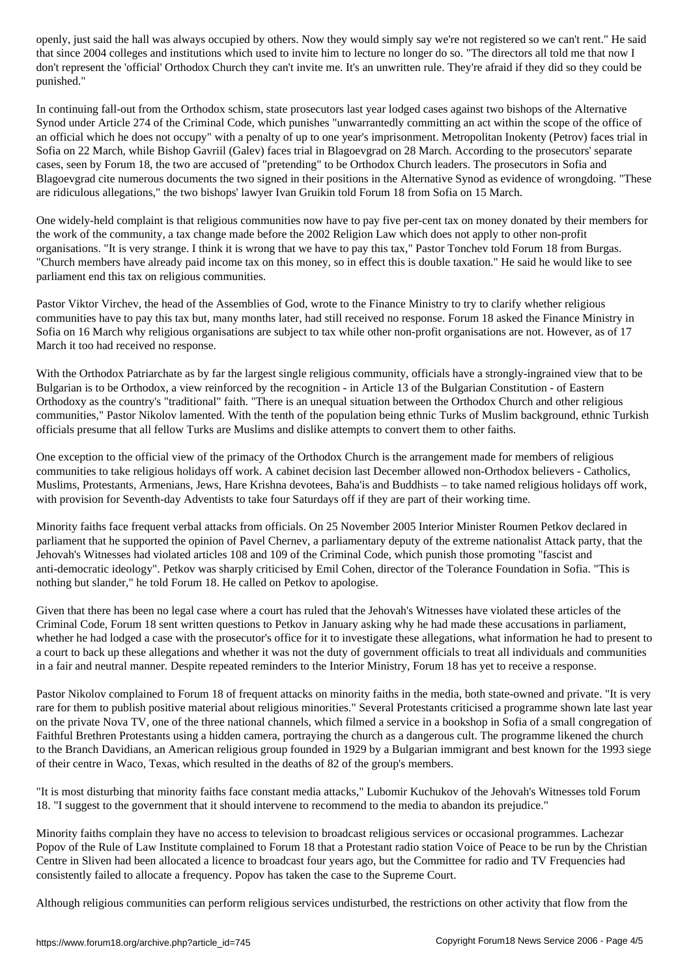that since 2004 colleges and institutions which used to invite him to invite him to invite him to invite him to don't represent the 'official' Orthodox Church they can't invite me. It's an unwritten rule. They're afraid if they did so they could be punished."

In continuing fall-out from the Orthodox schism, state prosecutors last year lodged cases against two bishops of the Alternative Synod under Article 274 of the Criminal Code, which punishes "unwarrantedly committing an act within the scope of the office of an official which he does not occupy" with a penalty of up to one year's imprisonment. Metropolitan Inokenty (Petrov) faces trial in Sofia on 22 March, while Bishop Gavriil (Galev) faces trial in Blagoevgrad on 28 March. According to the prosecutors' separate cases, seen by Forum 18, the two are accused of "pretending" to be Orthodox Church leaders. The prosecutors in Sofia and Blagoevgrad cite numerous documents the two signed in their positions in the Alternative Synod as evidence of wrongdoing. "These are ridiculous allegations," the two bishops' lawyer Ivan Gruikin told Forum 18 from Sofia on 15 March.

One widely-held complaint is that religious communities now have to pay five per-cent tax on money donated by their members for the work of the community, a tax change made before the 2002 Religion Law which does not apply to other non-profit organisations. "It is very strange. I think it is wrong that we have to pay this tax," Pastor Tonchev told Forum 18 from Burgas. "Church members have already paid income tax on this money, so in effect this is double taxation." He said he would like to see parliament end this tax on religious communities.

Pastor Viktor Virchev, the head of the Assemblies of God, wrote to the Finance Ministry to try to clarify whether religious communities have to pay this tax but, many months later, had still received no response. Forum 18 asked the Finance Ministry in Sofia on 16 March why religious organisations are subject to tax while other non-profit organisations are not. However, as of 17 March it too had received no response.

With the Orthodox Patriarchate as by far the largest single religious community, officials have a strongly-ingrained view that to be Bulgarian is to be Orthodox, a view reinforced by the recognition - in Article 13 of the Bulgarian Constitution - of Eastern Orthodoxy as the country's "traditional" faith. "There is an unequal situation between the Orthodox Church and other religious communities," Pastor Nikolov lamented. With the tenth of the population being ethnic Turks of Muslim background, ethnic Turkish officials presume that all fellow Turks are Muslims and dislike attempts to convert them to other faiths.

One exception to the official view of the primacy of the Orthodox Church is the arrangement made for members of religious communities to take religious holidays off work. A cabinet decision last December allowed non-Orthodox believers - Catholics, Muslims, Protestants, Armenians, Jews, Hare Krishna devotees, Baha'is and Buddhists – to take named religious holidays off work, with provision for Seventh-day Adventists to take four Saturdays off if they are part of their working time.

Minority faiths face frequent verbal attacks from officials. On 25 November 2005 Interior Minister Roumen Petkov declared in parliament that he supported the opinion of Pavel Chernev, a parliamentary deputy of the extreme nationalist Attack party, that the Jehovah's Witnesses had violated articles 108 and 109 of the Criminal Code, which punish those promoting "fascist and anti-democratic ideology". Petkov was sharply criticised by Emil Cohen, director of the Tolerance Foundation in Sofia. "This is nothing but slander," he told Forum 18. He called on Petkov to apologise.

Given that there has been no legal case where a court has ruled that the Jehovah's Witnesses have violated these articles of the Criminal Code, Forum 18 sent written questions to Petkov in January asking why he had made these accusations in parliament, whether he had lodged a case with the prosecutor's office for it to investigate these allegations, what information he had to present to a court to back up these allegations and whether it was not the duty of government officials to treat all individuals and communities in a fair and neutral manner. Despite repeated reminders to the Interior Ministry, Forum 18 has yet to receive a response.

Pastor Nikolov complained to Forum 18 of frequent attacks on minority faiths in the media, both state-owned and private. "It is very rare for them to publish positive material about religious minorities." Several Protestants criticised a programme shown late last year on the private Nova TV, one of the three national channels, which filmed a service in a bookshop in Sofia of a small congregation of Faithful Brethren Protestants using a hidden camera, portraying the church as a dangerous cult. The programme likened the church to the Branch Davidians, an American religious group founded in 1929 by a Bulgarian immigrant and best known for the 1993 siege of their centre in Waco, Texas, which resulted in the deaths of 82 of the group's members.

"It is most disturbing that minority faiths face constant media attacks," Lubomir Kuchukov of the Jehovah's Witnesses told Forum 18. "I suggest to the government that it should intervene to recommend to the media to abandon its prejudice."

Minority faiths complain they have no access to television to broadcast religious services or occasional programmes. Lachezar Popov of the Rule of Law Institute complained to Forum 18 that a Protestant radio station Voice of Peace to be run by the Christian Centre in Sliven had been allocated a licence to broadcast four years ago, but the Committee for radio and TV Frequencies had consistently failed to allocate a frequency. Popov has taken the case to the Supreme Court.

Although religious communities can perform religious services undisturbed, the restrictions on other activity that flow from the